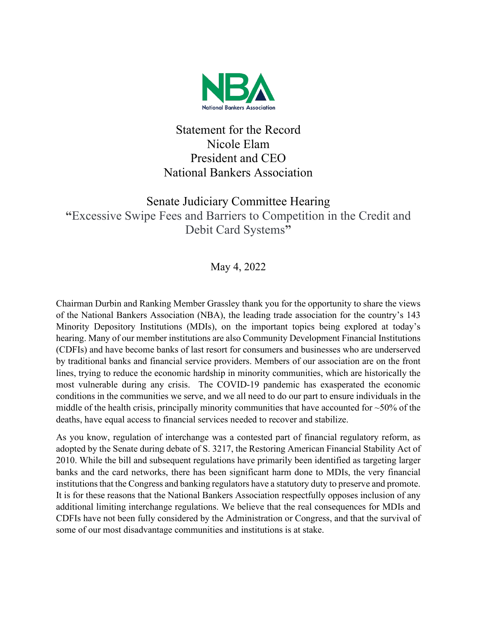

## Statement for the Record Nicole Elam President and CEO National Bankers Association

## Senate Judiciary Committee Hearing **"**Excessive Swipe Fees and Barriers to Competition in the Credit and Debit Card Systems**"**

May 4, 2022

Chairman Durbin and Ranking Member Grassley thank you for the opportunity to share the views of the National Bankers Association (NBA), the leading trade association for the country's 143 Minority Depository Institutions (MDIs), on the important topics being explored at today's hearing. Many of our member institutions are also Community Development Financial Institutions (CDFIs) and have become banks of last resort for consumers and businesses who are underserved by traditional banks and financial service providers. Members of our association are on the front lines, trying to reduce the economic hardship in minority communities, which are historically the most vulnerable during any crisis. The COVID-19 pandemic has exasperated the economic conditions in the communities we serve, and we all need to do our part to ensure individuals in the middle of the health crisis, principally minority communities that have accounted for  $\sim$ 50% of the deaths, have equal access to financial services needed to recover and stabilize.

As you know, regulation of interchange was a contested part of financial regulatory reform, as adopted by the Senate during debate of S. 3217, the Restoring American Financial Stability Act of 2010. While the bill and subsequent regulations have primarily been identified as targeting larger banks and the card networks, there has been significant harm done to MDIs, the very financial institutions that the Congress and banking regulators have a statutory duty to preserve and promote. It is for these reasons that the National Bankers Association respectfully opposes inclusion of any additional limiting interchange regulations. We believe that the real consequences for MDIs and CDFIs have not been fully considered by the Administration or Congress, and that the survival of some of our most disadvantage communities and institutions is at stake.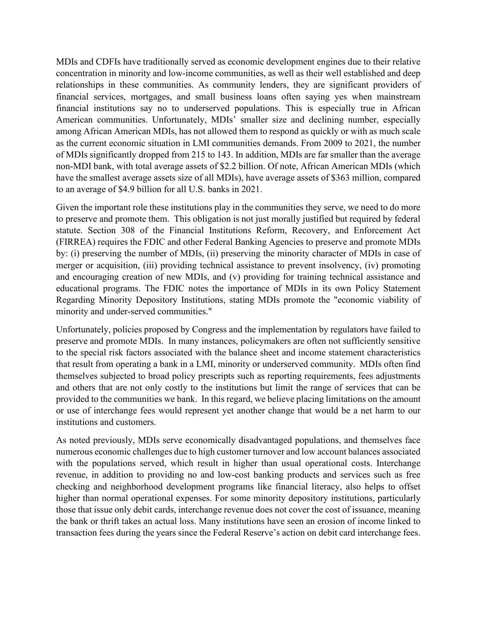MDIs and CDFIs have traditionally served as economic development engines due to their relative concentration in minority and low-income communities, as well as their well established and deep relationships in these communities. As community lenders, they are significant providers of financial services, mortgages, and small business loans often saying yes when mainstream financial institutions say no to underserved populations. This is especially true in African American communities. Unfortunately, MDIs' smaller size and declining number, especially among African American MDIs, has not allowed them to respond as quickly or with as much scale as the current economic situation in LMI communities demands. From 2009 to 2021, the number of MDIs significantly dropped from 215 to 143. In addition, MDIs are far smaller than the average non-MDI bank, with total average assets of \$2.2 billion. Of note, African American MDIs (which have the smallest average assets size of all MDIs), have average assets of \$363 million, compared to an average of \$4.9 billion for all U.S. banks in 2021.

Given the important role these institutions play in the communities they serve, we need to do more to preserve and promote them. This obligation is not just morally justified but required by federal statute. Section 308 of the Financial Institutions Reform, Recovery, and Enforcement Act (FIRREA) requires the FDIC and other Federal Banking Agencies to preserve and promote MDIs by: (i) preserving the number of MDIs, (ii) preserving the minority character of MDIs in case of merger or acquisition, (iii) providing technical assistance to prevent insolvency, (iv) promoting and encouraging creation of new MDIs, and (v) providing for training technical assistance and educational programs. The FDIC notes the importance of MDIs in its own Policy Statement Regarding Minority Depository Institutions, stating MDIs promote the "economic viability of minority and under-served communities."

Unfortunately, policies proposed by Congress and the implementation by regulators have failed to preserve and promote MDIs. In many instances, policymakers are often not sufficiently sensitive to the special risk factors associated with the balance sheet and income statement characteristics that result from operating a bank in a LMI, minority or underserved community. MDIs often find themselves subjected to broad policy prescripts such as reporting requirements, fees adjustments and others that are not only costly to the institutions but limit the range of services that can be provided to the communities we bank. In this regard, we believe placing limitations on the amount or use of interchange fees would represent yet another change that would be a net harm to our institutions and customers.

As noted previously, MDIs serve economically disadvantaged populations, and themselves face numerous economic challenges due to high customer turnover and low account balances associated with the populations served, which result in higher than usual operational costs. Interchange revenue, in addition to providing no and low-cost banking products and services such as free checking and neighborhood development programs like financial literacy, also helps to offset higher than normal operational expenses. For some minority depository institutions, particularly those that issue only debit cards, interchange revenue does not cover the cost of issuance, meaning the bank or thrift takes an actual loss. Many institutions have seen an erosion of income linked to transaction fees during the years since the Federal Reserve's action on debit card interchange fees.